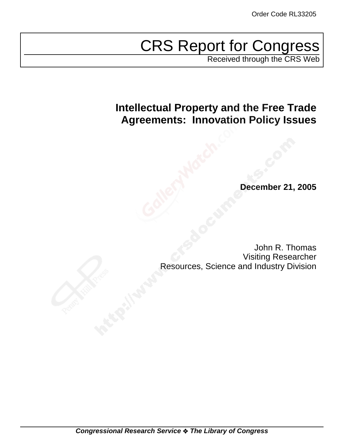# CRS Report for Congress

Received through the CRS Web

## **Intellectual Property and the Free Trade Agreements: Innovation Policy Issues**

**December 21, 2005**

John R. Thomas Visiting Researcher Resources, Science and Industry Division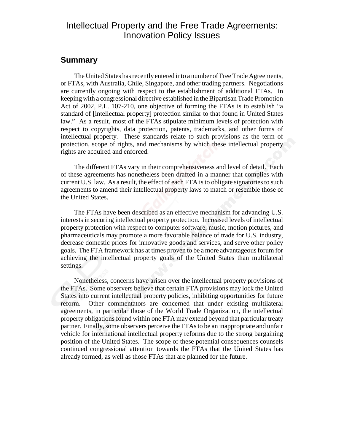## Intellectual Property and the Free Trade Agreements: Innovation Policy Issues

## **Summary**

The United States has recently entered into a number of Free Trade Agreements, or FTAs, with Australia, Chile, Singapore, and other trading partners. Negotiations are currently ongoing with respect to the establishment of additional FTAs. In keeping with a congressional directive established in the Bipartisan Trade Promotion Act of 2002, P.L. 107-210, one objective of forming the FTAs is to establish "a standard of [intellectual property] protection similar to that found in United States law." As a result, most of the FTAs stipulate minimum levels of protection with respect to copyrights, data protection, patents, trademarks, and other forms of intellectual property. These standards relate to such provisions as the term of protection, scope of rights, and mechanisms by which these intellectual property rights are acquired and enforced.

The different FTAs vary in their comprehensiveness and level of detail. Each of these agreements has nonetheless been drafted in a manner that complies with current U.S. law. As a result, the effect of each FTA is to obligate signatories to such agreements to amend their intellectual property laws to match or resemble those of the United States.

The FTAs have been described as an effective mechanism for advancing U.S. interests in securing intellectual property protection. Increased levels of intellectual property protection with respect to computer software, music, motion pictures, and pharmaceuticals may promote a more favorable balance of trade for U.S. industry, decrease domestic prices for innovative goods and services, and serve other policy goals. The FTA framework has at times proven to be a more advantageous forum for achieving the intellectual property goals of the United States than multilateral settings.

Nonetheless, concerns have arisen over the intellectual property provisions of the FTAs. Some observers believe that certain FTA provisions may lock the United States into current intellectual property policies, inhibiting opportunities for future reform. Other commentators are concerned that under existing multilateral agreements, in particular those of the World Trade Organization, the intellectual property obligations found within one FTA may extend beyond that particular treaty partner. Finally, some observers perceive the FTAs to be an inappropriate and unfair vehicle for international intellectual property reforms due to the strong bargaining position of the United States. The scope of these potential consequences counsels continued congressional attention towards the FTAs that the United States has already formed, as well as those FTAs that are planned for the future.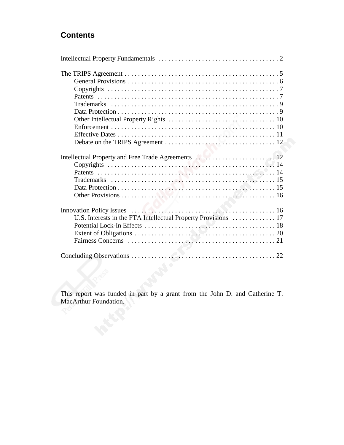## **Contents**

| Intellectual Property and Free Trade Agreements  12 |
|-----------------------------------------------------|
|                                                     |
|                                                     |

This report was funded in part by a grant from the John D. and Catherine T. MacArthur Foundation.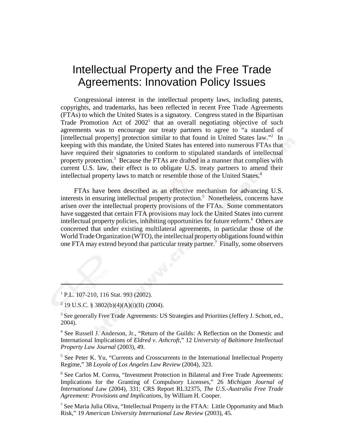## Intellectual Property and the Free Trade Agreements: Innovation Policy Issues

Congressional interest in the intellectual property laws, including patents, copyrights, and trademarks, has been reflected in recent Free Trade Agreements (FTAs) to which the United States is a signatory. Congress stated in the Bipartisan Trade Promotion Act of  $2002<sup>1</sup>$  that an overall negotiating objective of such agreements was to encourage our treaty partners to agree to "a standard of [intellectual property] protection similar to that found in United States law."<sup>2</sup> In keeping with this mandate, the United States has entered into numerous FTAs that have required their signatories to conform to stipulated standards of intellectual property protection.<sup>3</sup> Because the FTAs are drafted in a manner that complies with current U.S. law, their effect is to obligate U.S. treaty partners to amend their intellectual property laws to match or resemble those of the United States.<sup>4</sup>

FTAs have been described as an effective mechanism for advancing U.S. interests in ensuring intellectual property protection.<sup>5</sup> Nonetheless, concerns have arisen over the intellectual property provisions of the FTAs. Some commentators have suggested that certain FTA provisions may lock the United States into current intellectual property policies, inhibiting opportunities for future reform.<sup>6</sup> Others are concerned that under existing multilateral agreements, in particular those of the World Trade Organization (WTO), the intellectual property obligations found within one FTA may extend beyond that particular treaty partner.<sup>7</sup> Finally, some observers

<sup>1</sup> P.L. 107-210, 116 Stat. 993 (2002).

<sup>2</sup> 19 U.S.C. § 3802(b)(4)(A)(i)(II) (2004).

<sup>3</sup> See generally Free Trade Agreements: US Strategies and Priorities (Jeffery J. Schott, ed., 2004).

<sup>4</sup> See Russell J. Anderson, Jr., "Return of the Guilds: A Reflection on the Domestic and International Implications of *Eldred v. Ashcroft*," 12 *University of Baltimore Intellectual Property Law Journal* (2003), 49.

<sup>5</sup> See Peter K. Yu, "Currents and Crosscurrents in the International Intellectual Property Regime," 38 *Loyola of Los Angeles Law Review* (2004), 323.

<sup>6</sup> See Carlos M. Correa, "Investment Protection in Bilateral and Free Trade Agreements: Implications for the Granting of Compulsory Licenses," 26 *Michigan Journal of International Law* (2004), 331; CRS Report RL32375, *The U.S.-Australia Free Trade Agreement: Provisions and Implications*, by William H. Cooper.

<sup>7</sup> See Maria Julia Oliva, "Intellectual Property in the FTAA: Little Opportunity and Much Risk," 19 *American University International Law Review* (2003), 45.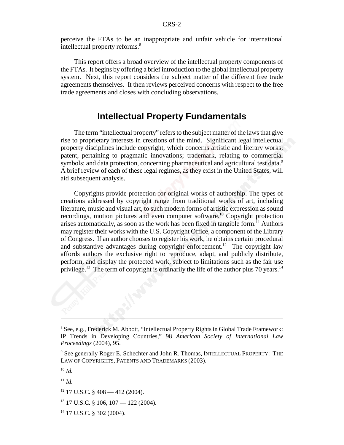perceive the FTAs to be an inappropriate and unfair vehicle for international intellectual property reforms.<sup>8</sup>

This report offers a broad overview of the intellectual property components of the FTAs. It begins by offering a brief introduction to the global intellectual property system. Next, this report considers the subject matter of the different free trade agreements themselves. It then reviews perceived concerns with respect to the free trade agreements and closes with concluding observations.

## **Intellectual Property Fundamentals**

The term "intellectual property" refers to the subject matter of the laws that give rise to proprietary interests in creations of the mind. Significant legal intellectual property disciplines include copyright, which concerns artistic and literary works; patent, pertaining to pragmatic innovations; trademark, relating to commercial symbols; and data protection, concerning pharmaceutical and agricultural test data.<sup>9</sup> A brief review of each of these legal regimes, as they exist in the United States, will aid subsequent analysis.

Copyrights provide protection for original works of authorship. The types of creations addressed by copyright range from traditional works of art, including literature, music and visual art, to such modern forms of artistic expression as sound recordings, motion pictures and even computer software.<sup>10</sup> Copyright protection arises automatically, as soon as the work has been fixed in tangible form.<sup>11</sup> Authors may register their works with the U.S. Copyright Office, a component of the Library of Congress. If an author chooses to register his work, he obtains certain procedural and substantive advantages during copyright enforcement.<sup>12</sup> The copyright law affords authors the exclusive right to reproduce, adapt, and publicly distribute, perform, and display the protected work, subject to limitations such as the fair use privilege.<sup>13</sup> The term of copyright is ordinarily the life of the author plus 70 years.<sup>14</sup>

14 17 U.S.C. § 302 (2004).

<sup>&</sup>lt;sup>8</sup> See, e.g., Frederick M. Abbott, "Intellectual Property Rights in Global Trade Framework: IP Trends in Developing Countries," 98 *American Society of International Law Proceedings* (2004), 95.

<sup>&</sup>lt;sup>9</sup> See generally Roger E. Schechter and John R. Thomas, INTELLECTUAL PROPERTY: THE LAW OF COPYRIGHTS, PATENTS AND TRADEMARKS (2003).

<sup>10</sup> *Id.*

 $11$  *Id.* 

 $12$  17 U.S.C. § 408 — 412 (2004).

 $13$  17 U.S.C. § 106, 107 — 122 (2004).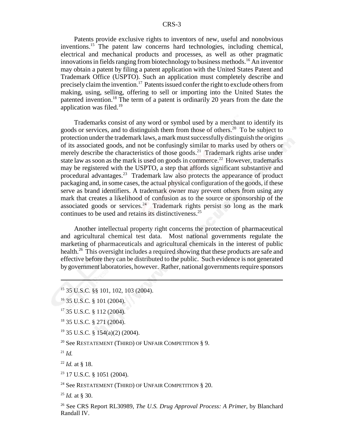Patents provide exclusive rights to inventors of new, useful and nonobvious inventions.<sup>15</sup> The patent law concerns hard technologies, including chemical, electrical and mechanical products and processes, as well as other pragmatic innovations in fields ranging from biotechnology to business methods.<sup>16</sup> An inventor may obtain a patent by filing a patent application with the United States Patent and Trademark Office (USPTO). Such an application must completely describe and precisely claim the invention.17 Patents issued confer the right to exclude others from making, using, selling, offering to sell or importing into the United States the patented invention.18 The term of a patent is ordinarily 20 years from the date the application was filed. $19$ 

Trademarks consist of any word or symbol used by a merchant to identify its goods or services, and to distinguish them from those of others.<sup>20</sup> To be subject to protection under the trademark laws, a mark must successfully distinguish the origins of its associated goods, and not be confusingly similar to marks used by others or merely describe the characteristics of those goods.<sup>21</sup> Trademark rights arise under state law as soon as the mark is used on goods in commerce.<sup>22</sup> However, trademarks may be registered with the USPTO, a step that affords significant substantive and procedural advantages.<sup>23</sup> Trademark law also protects the appearance of product packaging and, in some cases, the actual physical configuration of the goods, if these serve as brand identifiers. A trademark owner may prevent others from using any mark that creates a likelihood of confusion as to the source or sponsorship of the associated goods or services.<sup>24</sup> Trademark rights persist so long as the mark continues to be used and retains its distinctiveness.25

Another intellectual property right concerns the protection of pharmaceutical and agricultural chemical test data. Most national governments regulate the marketing of pharmaceuticals and agricultural chemicals in the interest of public health.<sup>26</sup> This oversight includes a required showing that these products are safe and effective before they can be distributed to the public. Such evidence is not generated by government laboratories, however. Rather, national governments require sponsors

<sup>20</sup> See RESTATEMENT (THIRD) OF UNFAIR COMPETITION  $\S$  9.

 $^{21}$  *Id.* 

<sup>22</sup> *Id.* at § 18.

 $23$  17 U.S.C. § 1051 (2004).

<sup>24</sup> See RESTATEMENT (THIRD) OF UNFAIR COMPETITION  $\S$  20.

<sup>15 35</sup> U.S.C. §§ 101, 102, 103 (2004).

<sup>16 35</sup> U.S.C. § 101 (2004).

<sup>17 35</sup> U.S.C. § 112 (2004).

<sup>&</sup>lt;sup>18</sup> 35 U.S.C. § 271 (2004).

<sup>19 35</sup> U.S.C. § 154(a)(2) (2004).

<sup>25</sup> *Id.* at § 30.

<sup>26</sup> See CRS Report RL30989, *The U.S. Drug Approval Process: A Primer*, by Blanchard Randall IV.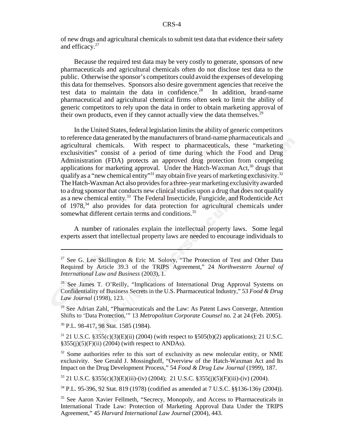of new drugs and agricultural chemicals to submit test data that evidence their safety and efficacy.<sup>27</sup>

Because the required test data may be very costly to generate, sponsors of new pharmaceuticals and agricultural chemicals often do not disclose test data to the public. Otherwise the sponsor's competitors could avoid the expenses of developing this data for themselves. Sponsors also desire government agencies that receive the test data to maintain the data in confidence.<sup>28</sup> In addition, brand-name pharmaceutical and agricultural chemical firms often seek to limit the ability of generic competitors to rely upon the data in order to obtain marketing approval of their own products, even if they cannot actually view the data themselves.<sup>29</sup>

In the United States, federal legislation limits the ability of generic competitors to reference data generated by the manufacturers of brand-name pharmaceuticals and agricultural chemicals. With respect to pharmaceuticals, these "marketing exclusivities" consist of a period of time during which the Food and Drug Administration (FDA) protects an approved drug protection from competing applications for marketing approval. Under the Hatch-Waxman Act, $30$  drugs that qualify as a "new chemical entity"<sup>31</sup> may obtain five years of marketing exclusivity.<sup>32</sup> The Hatch-Waxman Act also provides for a three-year marketing exclusivity awarded to a drug sponsor that conducts new clinical studies upon a drug that does not qualify as a new chemical entity.33 The Federal Insecticide, Fungicide, and Rodenticide Act of 1978,<sup>34</sup> also provides for data protection for agricultural chemicals under somewhat different certain terms and conditions.<sup>35</sup>

A number of rationales explain the intellectual property laws. Some legal experts assert that intellectual property laws are needed to encourage individuals to

<sup>29</sup> See Adrian Zahl, "Pharmaceuticals and the Law: As Patent Laws Converge, Attention Shifts to 'Data Protection,'" 13 *Metropolitan Corporate Counsel* no. 2 at 24 (Feb. 2005).

30 P.L. 98-417, 98 Stat. 1585 (1984).

 $31$  21 U.S.C. §355(c)(3)(E)(ii) (2004) (with respect to §505(b)(2) applications); 21 U.S.C.  $§355(j)(5)(F)(ii)$  (2004) (with respect to ANDAs).

<sup>32</sup> Some authorities refer to this sort of exclusivity as new molecular entity, or NME exclusivity. See Gerald J. Mossinghoff, "Overview of the Hatch-Waxman Act and Its Impact on the Drug Development Process," 54 *Food & Drug Law Journal* (1999), 187.

33 21 U.S.C. §355(c)(3)(E)(iii)-(iv) (2004); 21 U.S.C. §355(j)(5)(F)(iii)-(iv) (2004).

34 P.L. 95-396, 92 Stat. 819 (1978) (codified as amended at 7 U.S.C. §§136-136y (2004)).

<sup>&</sup>lt;sup>27</sup> See G. Lee Skillington & Eric M. Solovy, "The Protection of Test and Other Data Required by Article 39.3 of the TRIPS Agreement," 24 *Northwestern Journal of International Law and Business* (2003), 1.

<sup>&</sup>lt;sup>28</sup> See James T. O'Reilly, "Implications of International Drug Approval Systems on Confidentiality of Business Secrets in the U.S. Pharmaceutical Industry," 53 *Food & Drug Law Journal* (1998), 123.

<sup>&</sup>lt;sup>35</sup> See Aaron Xavier Fellmeth, "Secrecy, Monopoly, and Access to Pharmaceuticals in International Trade Law: Protection of Marketing Approval Data Under the TRIPS Agreement," 45 *Harvard International Law Journal* (2004), 443.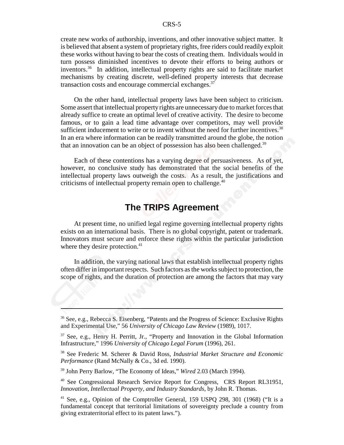create new works of authorship, inventions, and other innovative subject matter. It is believed that absent a system of proprietary rights, free riders could readily exploit these works without having to bear the costs of creating them. Individuals would in turn possess diminished incentives to devote their efforts to being authors or inventors.36 In addition, intellectual property rights are said to facilitate market mechanisms by creating discrete, well-defined property interests that decrease transaction costs and encourage commercial exchanges.<sup>37</sup>

On the other hand, intellectual property laws have been subject to criticism. Some assert that intellectual property rights are unnecessary due to market forces that already suffice to create an optimal level of creative activity. The desire to become famous, or to gain a lead time advantage over competitors, may well provide sufficient inducement to write or to invent without the need for further incentives.<sup>38</sup> In an era where information can be readily transmitted around the globe, the notion that an innovation can be an object of possession has also been challenged.<sup>39</sup>

Each of these contentions has a varying degree of persuasiveness. As of yet, however, no conclusive study has demonstrated that the social benefits of the intellectual property laws outweigh the costs. As a result, the justifications and criticisms of intellectual property remain open to challenge.<sup>40</sup>

## **The TRIPS Agreement**

At present time, no unified legal regime governing intellectual property rights exists on an international basis. There is no global copyright, patent or trademark. Innovators must secure and enforce these rights within the particular jurisdiction where they desire protection.<sup>41</sup>

In addition, the varying national laws that establish intellectual property rights often differ in important respects. Such factors as the works subject to protection, the scope of rights, and the duration of protection are among the factors that may vary

<sup>36</sup> See, e.g., Rebecca S. Eisenberg, "Patents and the Progress of Science: Exclusive Rights and Experimental Use," 56 *University of Chicago Law Review* (1989), 1017.

<sup>&</sup>lt;sup>37</sup> See, e.g., Henry H. Perritt, Jr., "Property and Innovation in the Global Information Infrastructure," 1996 *University of Chicago Legal Forum* (1996), 261.

<sup>38</sup> See Frederic M. Scherer & David Ross, *Industrial Market Structure and Economic Performance* (Rand McNally & Co., 3d ed. 1990).

<sup>39</sup> John Perry Barlow, "The Economy of Ideas," *Wired* 2.03 (March 1994).

<sup>&</sup>lt;sup>40</sup> See Congressional Research Service Report for Congress, CRS Report RL31951, *Innovation, Intellectual Property, and Industry Standards*, by John R. Thomas.

<sup>41</sup> See, e.g., Opinion of the Comptroller General, 159 USPQ 298, 301 (1968) ("It is a fundamental concept that territorial limitations of sovereignty preclude a country from giving extraterritorial effect to its patent laws.").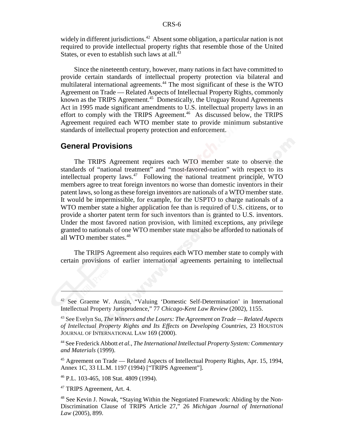widely in different jurisdictions.<sup>42</sup> Absent some obligation, a particular nation is not required to provide intellectual property rights that resemble those of the United States, or even to establish such laws at all. $43$ 

Since the nineteenth century, however, many nations in fact have committed to provide certain standards of intellectual property protection via bilateral and multilateral international agreements.44 The most significant of these is the WTO Agreement on Trade — Related Aspects of Intellectual Property Rights, commonly known as the TRIPS Agreement.<sup>45</sup> Domestically, the Uruguay Round Agreements Act in 1995 made significant amendments to U.S. intellectual property laws in an effort to comply with the TRIPS Agreement.<sup>46</sup> As discussed below, the TRIPS Agreement required each WTO member state to provide minimum substantive standards of intellectual property protection and enforcement.

## **General Provisions**

The TRIPS Agreement requires each WTO member state to observe the standards of "national treatment" and "most-favored-nation" with respect to its intellectual property laws. $47$  Following the national treatment principle, WTO members agree to treat foreign inventors no worse than domestic inventors in their patent laws, so long as these foreign inventors are nationals of a WTO member state. It would be impermissible, for example, for the USPTO to charge nationals of a WTO member state a higher application fee than is required of U.S. citizens, or to provide a shorter patent term for such inventors than is granted to U.S. inventors. Under the most favored nation provision, with limited exceptions, any privilege granted to nationals of one WTO member state must also be afforded to nationals of all WTO member states.48

The TRIPS Agreement also requires each WTO member state to comply with certain provisions of earlier international agreements pertaining to intellectual

46 P.L. 103-465, 108 Stat. 4809 (1994).

47 TRIPS Agreement, Art. 4.

<sup>42</sup> See Graeme W. Austin, "Valuing 'Domestic Self-Determination' in International Intellectual Property Jurisprudence," 77 *Chicago-Kent Law Review* (2002), 1155.

<sup>43</sup> See Evelyn Su, *The Winners and the Losers: The Agreement on Trade — Related Aspects of Intellectual Property Rights and Its Effects on Developing Countries*, 23 HOUSTON JOURNAL OF INTERNATIONAL LAW 169 (2000).

<sup>44</sup> See Frederick Abbott *et al.*, *The International Intellectual Property System: Commentary and Materials* (1999).

<sup>&</sup>lt;sup>45</sup> Agreement on Trade — Related Aspects of Intellectual Property Rights, Apr. 15, 1994, Annex 1C, 33 I.L.M. 1197 (1994) ["TRIPS Agreement"].

<sup>48</sup> See Kevin J. Nowak, "Staying Within the Negotiated Framework: Abiding by the Non-Discrimination Clause of TRIPS Article 27," 26 *Michigan Journal of International Law* (2005), 899.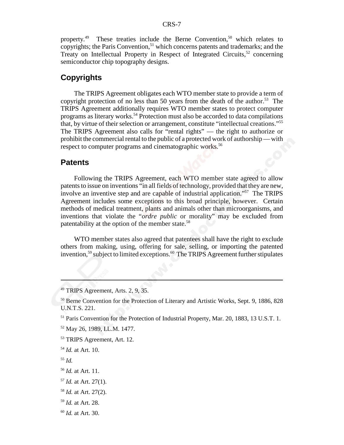property.<sup>49</sup> These treaties include the Berne Convention,<sup>50</sup> which relates to copyrights; the Paris Convention,<sup>51</sup> which concerns patents and trademarks; and the Treaty on Intellectual Property in Respect of Integrated Circuits,<sup>52</sup> concerning semiconductor chip topography designs.

## **Copyrights**

The TRIPS Agreement obligates each WTO member state to provide a term of copyright protection of no less than 50 years from the death of the author.<sup>53</sup> The TRIPS Agreement additionally requires WTO member states to protect computer programs as literary works.<sup>54</sup> Protection must also be accorded to data compilations that, by virtue of their selection or arrangement, constitute "intellectual creations."55 The TRIPS Agreement also calls for "rental rights" — the right to authorize or prohibit the commercial rental to the public of a protected work of authorship — with respect to computer programs and cinematographic works.<sup>56</sup>

### **Patents**

Following the TRIPS Agreement, each WTO member state agreed to allow patents to issue on inventions "in all fields of technology, provided that they are new, involve an inventive step and are capable of industrial application."<sup>57</sup> The TRIPS Agreement includes some exceptions to this broad principle, however. Certain methods of medical treatment, plants and animals other than microorganisms, and inventions that violate the "*ordre public* or morality" may be excluded from patentability at the option of the member state.<sup>58</sup>

WTO member states also agreed that patentees shall have the right to exclude others from making, using, offering for sale, selling, or importing the patented invention.<sup>59</sup> subject to limited exceptions.<sup>60</sup> The TRIPS Agreement further stipulates

- <sup>54</sup> *Id.* at Art. 10.
- <sup>55</sup> *Id.*
- <sup>56</sup> *Id.* at Art. 11.
- <sup>57</sup> *Id.* at Art. 27(1).
- <sup>58</sup> *Id.* at Art. 27(2).
- <sup>59</sup> *Id.* at Art. 28.
- <sup>60</sup> *Id.* at Art. 30.

<sup>49</sup> TRIPS Agreement, Arts. 2, 9, 35.

<sup>&</sup>lt;sup>50</sup> Berne Convention for the Protection of Literary and Artistic Works, Sept. 9, 1886, 828 U.N.T.S. 221.

<sup>51</sup> Paris Convention for the Protection of Industrial Property, Mar. 20, 1883, 13 U.S.T. 1.

<sup>52</sup> May 26, 1989, I.L.M. 1477.

<sup>53</sup> TRIPS Agreement, Art. 12.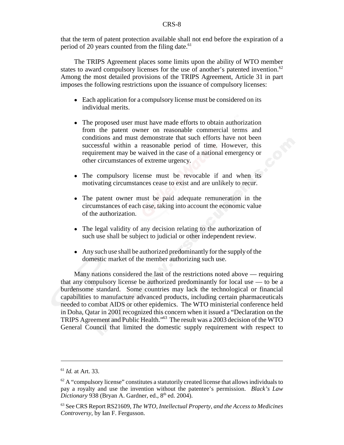that the term of patent protection available shall not end before the expiration of a period of 20 years counted from the filing date. $61$ 

The TRIPS Agreement places some limits upon the ability of WTO member states to award compulsory licenses for the use of another's patented invention.<sup>62</sup> Among the most detailed provisions of the TRIPS Agreement, Article 31 in part imposes the following restrictions upon the issuance of compulsory licenses:

- Each application for a compulsory license must be considered on its individual merits.
- The proposed user must have made efforts to obtain authorization from the patent owner on reasonable commercial terms and conditions and must demonstrate that such efforts have not been successful within a reasonable period of time. However, this requirement may be waived in the case of a national emergency or other circumstances of extreme urgency.
- The compulsory license must be revocable if and when its motivating circumstances cease to exist and are unlikely to recur.
- The patent owner must be paid adequate remuneration in the circumstances of each case, taking into account the economic value of the authorization.
- The legal validity of any decision relating to the authorization of such use shall be subject to judicial or other independent review.
- Any such use shall be authorized predominantly for the supply of the domestic market of the member authorizing such use.

Many nations considered the last of the restrictions noted above — requiring that any compulsory license be authorized predominantly for local use — to be a burdensome standard. Some countries may lack the technological or financial capabilities to manufacture advanced products, including certain pharmaceuticals needed to combat AIDS or other epidemics. The WTO ministerial conference held in Doha, Qatar in 2001 recognized this concern when it issued a "Declaration on the TRIPS Agreement and Public Health."63 The result was a 2003 decision of the WTO General Council that limited the domestic supply requirement with respect to

<sup>61</sup> *Id.* at Art. 33.

 $62$  A "compulsory license" constitutes a statutorily created license that allows individuals to pay a royalty and use the invention without the patentee's permission. *Black's Law Dictionary* 938 (Bryan A. Gardner, ed., 8<sup>th</sup> ed. 2004).

<sup>63</sup> See CRS Report RS21609, *The WTO, Intellectual Property, and the Access to Medicines Controversy*, by Ian F. Fergusson.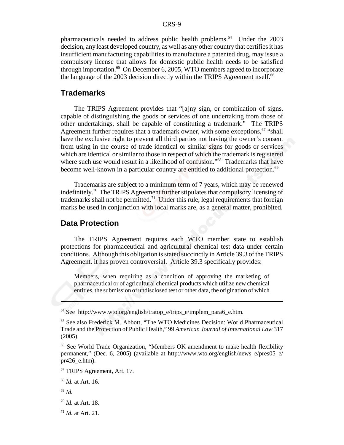pharmaceuticals needed to address public health problems.<sup>64</sup> Under the 2003 decision, any least developed country, as well as any other country that certifies it has insufficient manufacturing capabilities to manufacture a patented drug, may issue a compulsory license that allows for domestic public health needs to be satisfied through importation.<sup>65</sup> On December 6, 2005, WTO members agreed to incorporate the language of the 2003 decision directly within the TRIPS Agreement itself.<sup>66</sup>

## **Trademarks**

The TRIPS Agreement provides that "[a]ny sign, or combination of signs, capable of distinguishing the goods or services of one undertaking from those of other undertakings, shall be capable of constituting a trademark." The TRIPS Agreement further requires that a trademark owner, with some exceptions,  $67$  "shall have the exclusive right to prevent all third parties not having the owner's consent from using in the course of trade identical or similar signs for goods or services which are identical or similar to those in respect of which the trademark is registered where such use would result in a likelihood of confusion."<sup>68</sup> Trademarks that have become well-known in a particular country are entitled to additional protection.<sup>69</sup>

Trademarks are subject to a minimum term of 7 years, which may be renewed indefinitely.70 The TRIPS Agreement further stipulates that compulsory licensing of trademarks shall not be permitted.<sup>71</sup> Under this rule, legal requirements that foreign marks be used in conjunction with local marks are, as a general matter, prohibited.

## **Data Protection**

The TRIPS Agreement requires each WTO member state to establish protections for pharmaceutical and agricultural chemical test data under certain conditions. Although this obligation is stated succinctly in Article 39.3 of the TRIPS Agreement, it has proven controversial. Article 39.3 specifically provides:

Members, when requiring as a condition of approving the marketing of pharmaceutical or of agricultural chemical products which utilize new chemical entities, the submission of undisclosed test or other data, the origination of which

- <sup>70</sup> *Id.* at Art. 18.
- <sup>71</sup> *Id.* at Art. 21.

<sup>64</sup> See http://www.wto.org/english/tratop\_e/trips\_e/implem\_para6\_e.htm.

<sup>65</sup> See also Frederick M. Abbott, "The WTO Medicines Decision: World Pharmaceutical Trade and the Protection of Public Health," 99 *American Journal of International Law* 317 (2005).

<sup>66</sup> See World Trade Organization, "Members OK amendment to make health flexibility permanent," (Dec. 6, 2005) (available at http://www.wto.org/english/news\_e/pres05\_e/ pr426\_e.htm).

<sup>67</sup> TRIPS Agreement, Art. 17.

<sup>68</sup> *Id.* at Art. 16.

<sup>69</sup> *Id.*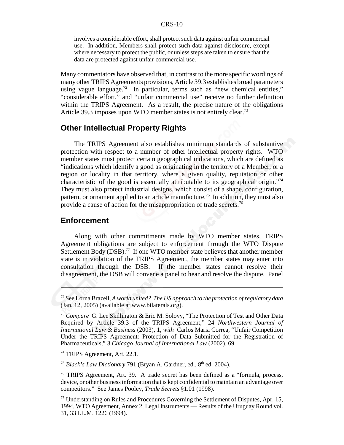involves a considerable effort, shall protect such data against unfair commercial use. In addition, Members shall protect such data against disclosure, except where necessary to protect the public, or unless steps are taken to ensure that the data are protected against unfair commercial use.

Many commentators have observed that, in contrast to the more specific wordings of many other TRIPS Agreements provisions, Article 39.3 establishes broad parameters using vague language.<sup>72</sup> In particular, terms such as "new chemical entities," "considerable effort," and "unfair commercial use" receive no further definition within the TRIPS Agreement. As a result, the precise nature of the obligations Article 39.3 imposes upon WTO member states is not entirely clear.<sup>73</sup>

## **Other Intellectual Property Rights**

The TRIPS Agreement also establishes minimum standards of substantive protection with respect to a number of other intellectual property rights. WTO member states must protect certain geographical indications, which are defined as "indications which identify a good as originating in the territory of a Member, or a region or locality in that territory, where a given quality, reputation or other characteristic of the good is essentially attributable to its geographical origin."<sup>74</sup> They must also protect industrial designs, which consist of a shape, configuration, pattern, or ornament applied to an article manufacture.<sup>75</sup> In addition, they must also provide a cause of action for the misappropriation of trade secrets.<sup>76</sup>

## **Enforcement**

Along with other commitments made by WTO member states, TRIPS Agreement obligations are subject to enforcement through the WTO Dispute Settlement Body (DSB).<sup>77</sup> If one WTO member state believes that another member state is in violation of the TRIPS Agreement, the member states may enter into consultation through the DSB. If the member states cannot resolve their disagreement, the DSB will convene a panel to hear and resolve the dispute. Panel

<sup>75</sup> *Black's Law Dictionary* 791 (Bryan A. Gardner, ed.,  $8<sup>th</sup>$  ed. 2004).

<sup>72</sup> See Lorna Brazell, *A world united? The US approach to the protection of regulatory data* (Jan. 12, 2005) (available at www.bilaterals.org).

<sup>73</sup> *Compare* G. Lee Skillington & Eric M. Solovy, "The Protection of Test and Other Data Required by Article 39.3 of the TRIPS Agreement," 24 *Northwestern Journal of International Law & Business* (2003), 1, *with* Carlos Maria Correa, "Unfair Competition Under the TRIPS Agreement: Protection of Data Submitted for the Registration of Pharmaceuticals," 3 *Chicago Journal of International Law* (2002), 69.

<sup>74</sup> TRIPS Agreement, Art. 22.1.

<sup>76</sup> TRIPS Agreement, Art. 39. A trade secret has been defined as a "formula, process, device, or other business information that is kept confidential to maintain an advantage over competitors." See James Pooley, *Trade Secrets* §1.01 (1998).

 $77$  Understanding on Rules and Procedures Governing the Settlement of Disputes, Apr. 15, 1994, WTO Agreement, Annex 2, Legal Instruments — Results of the Uruguay Round vol. 31, 33 I.L.M. 1226 (1994).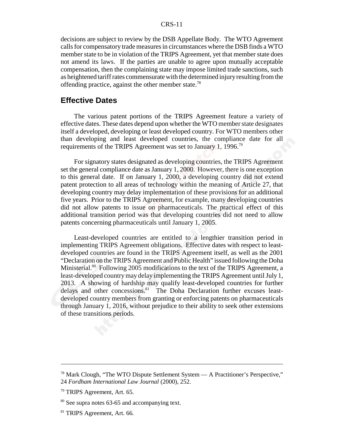decisions are subject to review by the DSB Appellate Body. The WTO Agreement calls for compensatory trade measures in circumstances where the DSB finds a WTO member state to be in violation of the TRIPS Agreement, yet that member state does not amend its laws. If the parties are unable to agree upon mutually acceptable compensation, then the complaining state may impose limited trade sanctions, such as heightened tariff rates commensurate with the determined injury resulting from the offending practice, against the other member state.<sup>78</sup>

## **Effective Dates**

The various patent portions of the TRIPS Agreement feature a variety of effective dates. These dates depend upon whether the WTO member state designates itself a developed, developing or least developed country. For WTO members other than developing and least developed countries, the compliance date for all requirements of the TRIPS Agreement was set to January 1, 1996.79

For signatory states designated as developing countries, the TRIPS Agreement set the general compliance date as January 1, 2000. However, there is one exception to this general date. If on January 1, 2000, a developing country did not extend patent protection to all areas of technology within the meaning of Article 27, that developing country may delay implementation of these provisions for an additional five years. Prior to the TRIPS Agreement, for example, many developing countries did not allow patents to issue on pharmaceuticals. The practical effect of this additional transition period was that developing countries did not need to allow patents concerning pharmaceuticals until January 1, 2005.

Least-developed countries are entitled to a lengthier transition period in implementing TRIPS Agreement obligations. Effective dates with respect to leastdeveloped countries are found in the TRIPS Agreement itself, as well as the 2001 "Declaration on the TRIPS Agreement and Public Health" issued following the Doha Ministerial.<sup>80</sup> Following 2005 modifications to the text of the TRIPS Agreement, a least-developed country may delay implementing the TRIPS Agreement until July 1, 2013. A showing of hardship may qualify least-developed countries for further delays and other concessions.<sup>81</sup> The Doha Declaration further excuses leastdeveloped country members from granting or enforcing patents on pharmaceuticals through January 1, 2016, without prejudice to their ability to seek other extensions of these transitions periods.

<sup>78</sup> Mark Clough, "The WTO Dispute Settlement System — A Practitioner's Perspective," 24 *Fordham International Law Journal* (2000), 252.

<sup>79</sup> TRIPS Agreement, Art. 65.

<sup>80</sup> See supra notes 63-65 and accompanying text.

<sup>81</sup> TRIPS Agreement, Art. 66.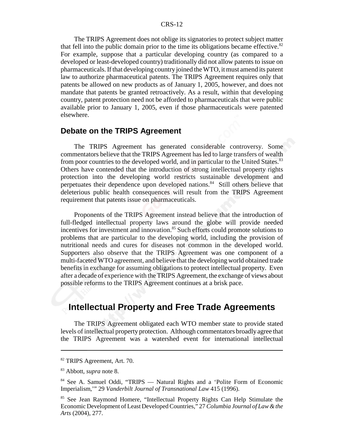The TRIPS Agreement does not oblige its signatories to protect subject matter that fell into the public domain prior to the time its obligations became effective. $82$ For example, suppose that a particular developing country (as compared to a developed or least-developed country) traditionally did not allow patents to issue on pharmaceuticals. If that developing country joined the WTO, it must amend its patent law to authorize pharmaceutical patents. The TRIPS Agreement requires only that patents be allowed on new products as of January 1, 2005, however, and does not mandate that patents be granted retroactively. As a result, within that developing country, patent protection need not be afforded to pharmaceuticals that were public available prior to January 1, 2005, even if those pharmaceuticals were patented elsewhere.

## **Debate on the TRIPS Agreement**

The TRIPS Agreement has generated considerable controversy. Some commentators believe that the TRIPS Agreement has led to large transfers of wealth from poor countries to the developed world, and in particular to the United States.<sup>83</sup> Others have contended that the introduction of strong intellectual property rights protection into the developing world restricts sustainable development and perpetuates their dependence upon developed nations.<sup>84</sup> Still others believe that deleterious public health consequences will result from the TRIPS Agreement requirement that patents issue on pharmaceuticals.

Proponents of the TRIPS Agreement instead believe that the introduction of full-fledged intellectual property laws around the globe will provide needed incentives for investment and innovation.<sup>85</sup> Such efforts could promote solutions to problems that are particular to the developing world, including the provision of nutritional needs and cures for diseases not common in the developed world. Supporters also observe that the TRIPS Agreement was one component of a multi-faceted WTO agreement, and believe that the developing world obtained trade benefits in exchange for assuming obligations to protect intellectual property. Even after a decade of experience with the TRIPS Agreement, the exchange of views about possible reforms to the TRIPS Agreement continues at a brisk pace.

## **Intellectual Property and Free Trade Agreements**

The TRIPS Agreement obligated each WTO member state to provide stated levels of intellectual property protection. Although commentators broadly agree that the TRIPS Agreement was a watershed event for international intellectual

<sup>82</sup> TRIPS Agreement, Art. 70.

<sup>83</sup> Abbott, *supra* note 8.

<sup>&</sup>lt;sup>84</sup> See A. Samuel Oddi, "TRIPS — Natural Rights and a 'Polite Form of Economic Imperialism,'" 29 *Vanderbilt Journal of Transnational Law* 415 (1996).

<sup>&</sup>lt;sup>85</sup> See Jean Raymond Homere, "Intellectual Property Rights Can Help Stimulate the Economic Development of Least Developed Countries," 27 *Columbia Journal of Law & the Arts* (2004), 277.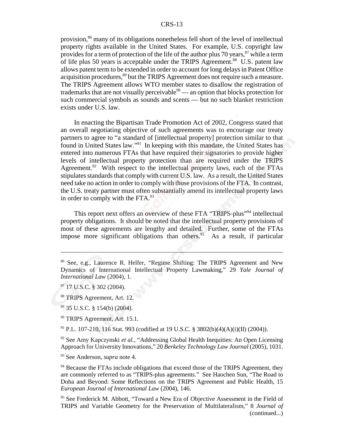provision,86 many of its obligations nonetheless fell short of the level of intellectual property rights available in the United States. For example, U.S. copyright law provides for a term of protection of the life of the author plus 70 years,  $87$  while a term of life plus 50 years is acceptable under the TRIPS Agreement.<sup>88</sup> U.S. patent law allows patent term to be extended in order to account for long delays in Patent Office acquisition procedures,<sup>89</sup> but the TRIPS Agreement does not require such a measure. The TRIPS Agreement allows WTO member states to disallow the registration of trademarks that are not visually perceivable $90$  — an option that blocks protection for such commercial symbols as sounds and scents — but no such blanket restriction exists under U.S. law.

In enacting the Bipartisan Trade Promotion Act of 2002, Congress stated that an overall negotiating objective of such agreements was to encourage our treaty partners to agree to "a standard of [intellectual property] protection similar to that found in United States law."91 In keeping with this mandate, the United States has entered into numerous FTAs that have required their signatories to provide higher levels of intellectual property protection than are required under the TRIPS Agreement.<sup>92</sup> With respect to the intellectual property laws, each of the FTAs stipulates standards that comply with current U.S. law. As a result, the United States need take no action in order to comply with those provisions of the FTA. In contrast, the U.S. treaty partner must often substantially amend its intellectual property laws in order to comply with the  $FTA.^{93}$ .

This report next offers an overview of these FTA "TRIPS-plus"<sup>94</sup> intellectual property obligations. It should be noted that the intellectual property provisions of most of these agreements are lengthy and detailed. Further, some of the FTAs impose more significant obligations than others.<sup>95</sup> As a result, if particular

91 P.L. 107-210, 116 Stat. 993 (codified at 19 U.S.C. § 3802(b)(4)(A)(i)(II) (2004)).

<sup>92</sup> See Amy Kapczynski *et al.*, "Addressing Global Health Inequities: An Open Licensing Approach for University Innovations," 20 *Berkeley Technology Law Journal* (2005), 1031.

93 See Anderson, *supra* note 4.

<sup>94</sup> Because the FTAs include obligations that exceed those of the TRIPS Agreement, they are commonly referred to as "TRIPS-plus agreements." See Haochen Sun, "The Road to Doha and Beyond: Some Reflections on the TRIPS Agreement and Public Health, 15 *European Journal of International Law* (2004), 146.

<sup>95</sup> See Frederick M. Abbott, "Toward a New Era of Objective Assessment in the Field of TRIPS and Variable Geometry for the Preservation of Multilateralism," 8 *Journal of* (continued...)

<sup>86</sup> See, e.g., Laurence R. Helfer, "Regime Shifting: The TRIPS Agreement and New Dynamics of International Intellectual Property Lawmaking," 29 *Yale Journal of International Law* (2004), 1.

<sup>87 17</sup> U.S.C. § 302 (2004).

<sup>88</sup> TRIPS Agreement, Art. 12.

<sup>89 35</sup> U.S.C. § 154(b) (2004).

<sup>&</sup>lt;sup>90</sup> TRIPS Agreement, Art. 15.1.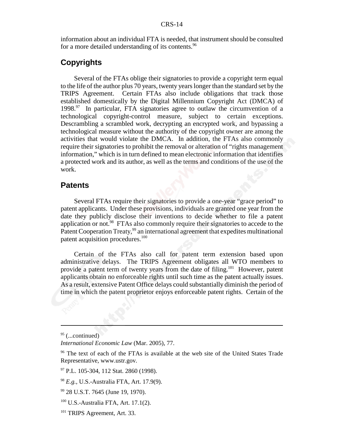information about an individual FTA is needed, that instrument should be consulted for a more detailed understanding of its contents.<sup>96</sup>

## **Copyrights**

Several of the FTAs oblige their signatories to provide a copyright term equal to the life of the author plus 70 years, twenty years longer than the standard set by the TRIPS Agreement. Certain FTAs also include obligations that track those established domestically by the Digital Millennium Copyright Act (DMCA) of  $1998.<sup>97</sup>$  In particular, FTA signatories agree to outlaw the circumvention of a technological copyright-control measure, subject to certain exceptions. Descrambling a scrambled work, decrypting an encrypted work, and bypassing a technological measure without the authority of the copyright owner are among the activities that would violate the DMCA. In addition, the FTAs also commonly require their signatories to prohibit the removal or alteration of "rights management information," which is in turn defined to mean electronic information that identifies a protected work and its author, as well as the terms and conditions of the use of the work.

## **Patents**

Several FTAs require their signatories to provide a one-year "grace period" to patent applicants. Under these provisions, individuals are granted one year from the date they publicly disclose their inventions to decide whether to file a patent application or not.<sup>98</sup> FTAs also commonly require their signatories to accede to the Patent Cooperation Treaty,<sup>99</sup> an international agreement that expedites multinational patent acquisition procedures.<sup>100</sup>

Certain of the FTAs also call for patent term extension based upon administrative delays. The TRIPS Agreement obligates all WTO members to provide a patent term of twenty years from the date of filing.<sup>101</sup> However, patent applicants obtain no enforceable rights until such time as the patent actually issues. As a result, extensive Patent Office delays could substantially diminish the period of time in which the patent proprietor enjoys enforceable patent rights. Certain of the

 $95$  (...continued)

*International Economic Law* (Mar. 2005), 77.

<sup>&</sup>lt;sup>96</sup> The text of each of the FTAs is available at the web site of the United States Trade Representative, www.ustr.gov.

<sup>&</sup>lt;sup>97</sup> P.L. 105-304, 112 Stat. 2860 (1998).

<sup>98</sup> *E.g.,* U.S.-Australia FTA, Art. 17.9(9).

<sup>99 28</sup> U.S.T. 7645 (June 19, 1970).

 $100$  U.S.-Australia FTA, Art. 17.1(2).

<sup>101</sup> TRIPS Agreement, Art. 33.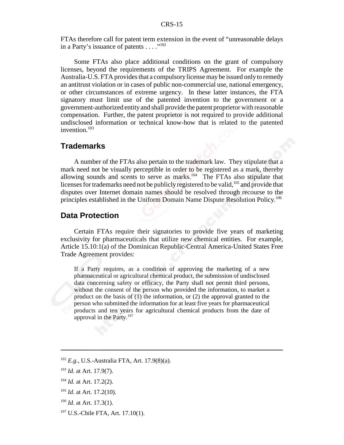FTAs therefore call for patent term extension in the event of "unreasonable delays in a Party's issuance of patents . . . ."<sup>102</sup>

Some FTAs also place additional conditions on the grant of compulsory licenses, beyond the requirements of the TRIPS Agreement. For example the Australia-U.S. FTA provides that a compulsory license may be issued only to remedy an antitrust violation or in cases of public non-commercial use, national emergency, or other circumstances of extreme urgency. In these latter instances, the FTA signatory must limit use of the patented invention to the government or a government-authorized entity and shall provide the patent proprietor with reasonable compensation. Further, the patent proprietor is not required to provide additional undisclosed information or technical know-how that is related to the patented invention.<sup>103</sup>

## **Trademarks**

A number of the FTAs also pertain to the trademark law. They stipulate that a mark need not be visually perceptible in order to be registered as a mark, thereby allowing sounds and scents to serve as marks.<sup>104</sup> The FTAs also stipulate that licenses for trademarks need not be publicly registered to be valid,<sup>105</sup> and provide that disputes over Internet domain names should be resolved through recourse to the principles established in the Uniform Domain Name Dispute Resolution Policy.106

### **Data Protection**

Certain FTAs require their signatories to provide five years of marketing exclusivity for pharmaceuticals that utilize new chemical entities. For example, Article 15.10:1(a) of the Dominican Republic-Central America-United States Free Trade Agreement provides:

If a Party requires, as a condition of approving the marketing of a new pharmaceutical or agricultural chemical product, the submission of undisclosed data concerning safety or efficacy, the Party shall not permit third persons, without the consent of the person who provided the information, to market a product on the basis of (1) the information, or (2) the approval granted to the person who submitted the information for at least five years for pharmaceutical products and ten years for agricultural chemical products from the date of approval in the Party.<sup>107</sup>

<sup>102</sup> *E.g.,* U.S.-Australia FTA, Art. 17.9(8)(a).

<sup>103</sup> *Id.* at Art. 17.9(7).

<sup>104</sup> *Id.* at Art. 17.2(2).

<sup>&</sup>lt;sup>105</sup> *Id.* at Art. 17.2(10).

<sup>106</sup> *Id.* at Art. 17.3(1).

<sup>&</sup>lt;sup>107</sup> U.S.-Chile FTA, Art. 17.10(1).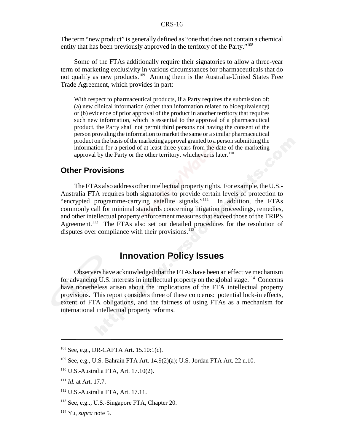The term "new product" is generally defined as "one that does not contain a chemical entity that has been previously approved in the territory of the Party."108

Some of the FTAs additionally require their signatories to allow a three-year term of marketing exclusivity in various circumstances for pharmaceuticals that do not qualify as new products.<sup>109</sup> Among them is the Australia-United States Free Trade Agreement, which provides in part:

With respect to pharmaceutical products, if a Party requires the submission of: (a) new clinical information (other than information related to bioequivalency) or (b) evidence of prior approval of the product in another territory that requires such new information, which is essential to the approval of a pharmaceutical product, the Party shall not permit third persons not having the consent of the person providing the information to market the same or a similar pharmaceutical product on the basis of the marketing approval granted to a person submitting the information for a period of at least three years from the date of the marketing approval by the Party or the other territory, whichever is later. $110$ 

## **Other Provisions**

The FTAs also address other intellectual property rights. For example, the U.S.- Australia FTA requires both signatories to provide certain levels of protection to "encrypted programme-carrying satellite signals."111 In addition, the FTAs commonly call for minimal standards concerning litigation proceedings, remedies, and other intellectual property enforcement measures that exceed those of the TRIPS Agreement.<sup>112</sup> The FTAs also set out detailed procedures for the resolution of disputes over compliance with their provisions. $^{113}$ 

## **Innovation Policy Issues**

Observers have acknowledged that the FTAs have been an effective mechanism for advancing U.S. interests in intellectual property on the global stage.<sup>114</sup> Concerns have nonetheless arisen about the implications of the FTA intellectual property provisions. This report considers three of these concerns: potential lock-in effects, extent of FTA obligations, and the fairness of using FTAs as a mechanism for international intellectual property reforms.

<sup>108</sup> See, e.g., DR-CAFTA Art. 15.10:1(c).

<sup>109</sup> See, e.g., U.S.-Bahrain FTA Art. 14.9(2)(a); U.S.-Jordan FTA Art. 22 n.10.

<sup>110</sup> U.S.-Australia FTA, Art. 17.10(2).

<sup>111</sup> *Id.* at Art. 17.7.

<sup>112</sup> U.S.-Australia FTA, Art. 17.11.

<sup>113</sup> See, e.g.., U.S.-Singapore FTA, Chapter 20.

<sup>114</sup> Yu, *supra* note 5.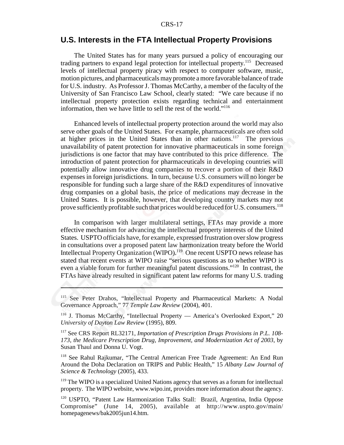## **U.S. Interests in the FTA Intellectual Property Provisions**

The United States has for many years pursued a policy of encouraging our trading partners to expand legal protection for intellectual property.<sup>115</sup> Decreased levels of intellectual property piracy with respect to computer software, music, motion pictures, and pharmaceuticals may promote a more favorable balance of trade for U.S. industry. As Professor J. Thomas McCarthy, a member of the faculty of the University of San Francisco Law School, clearly stated: "We care because if no intellectual property protection exists regarding technical and entertainment information, then we have little to sell the rest of the world."116

Enhanced levels of intellectual property protection around the world may also serve other goals of the United States. For example, pharmaceuticals are often sold at higher prices in the United States than in other nations.<sup>117</sup> The previous unavailability of patent protection for innovative pharmaceuticals in some foreign jurisdictions is one factor that may have contributed to this price difference. The introduction of patent protection for pharmaceuticals in developing countries will potentially allow innovative drug companies to recover a portion of their R&D expenses in foreign jurisdictions. In turn, because U.S. consumers will no longer be responsible for funding such a large share of the R&D expenditures of innovative drug companies on a global basis, the price of medications may decrease in the United States. It is possible, however, that developing country markets may not prove sufficiently profitable such that prices would be reduced for U.S. consumers.<sup>118</sup>

In comparison with larger multilateral settings, FTAs may provide a more effective mechanism for advancing the intellectual property interests of the United States. USPTO officials have, for example, expressed frustration over slow progress in consultations over a proposed patent law harmonization treaty before the World Intellectual Property Organization (WIPO).<sup>119</sup> One recent USPTO news release has stated that recent events at WIPO raise "serious questions as to whether WIPO is even a viable forum for further meaningful patent discussions."120 In contrast, the FTAs have already resulted in significant patent law reforms for many U.S. trading

118 See Rahul Rajkumar, "The Central American Free Trade Agreement: An End Run Around the Doha Declaration on TRIPS and Public Health," 15 *Albany Law Journal of Science & Technology* (2005), 433.

<sup>119</sup> The WIPO is a specialized United Nations agency that serves as a forum for intellectual property. The WIPO website, www.wipo.int, provides more information about the agency.

<sup>&</sup>lt;sup>115</sup> See Peter Drahos, "Intellectual Property and Pharmaceutical Markets: A Nodal Governance Approach," 77 *Temple Law Review* (2004), 401.

<sup>&</sup>lt;sup>116</sup> J. Thomas McCarthy, "Intellectual Property — America's Overlooked Export," 20 *University of Dayton Law Review* (1995), 809.

<sup>117</sup> See CRS Report RL32171, *Importation of Prescription Drugs Provisions in P.L. 108- 173, the Medicare Prescription Drug, Improvement, and Modernization Act of 2003*, by Susan Thaul and Donna U. Vogt.

<sup>&</sup>lt;sup>120</sup> USPTO, "Patent Law Harmonization Talks Stall: Brazil, Argentina, India Oppose Compromise" (June 14, 2005), available at http://www.uspto.gov/main/ homepagenews/bak2005jun14.htm.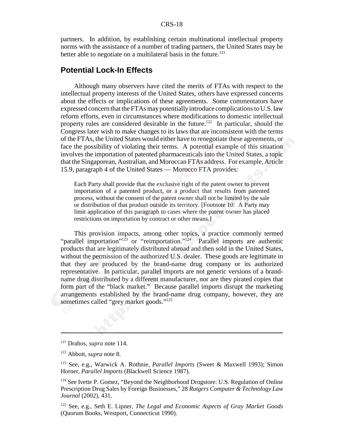partners. In addition, by establishing certain multinational intellectual property norms with the assistance of a number of trading partners, the United States may be better able to negotiate on a multilateral basis in the future.<sup>121</sup>

## **Potential Lock-In Effects**

Although many observers have cited the merits of FTAs with respect to the intellectual property interests of the United States, others have expressed concerns about the effects or implications of these agreements. Some commentators have expressed concern that the FTAs may potentially introduce complications to U.S. law reform efforts, even in circumstances where modifications to domestic intellectual property rules are considered desirable in the future.<sup>122</sup> In particular, should the Congress later wish to make changes to its laws that are inconsistent with the terms of the FTAs, the United States would either have to renegotiate these agreements, or face the possibility of violating their terms. A potential example of this situation involves the importation of patented pharmaceuticals into the United States, a topic that the Singaporean, Australian, and Moroccan FTAs address. For example, Article 15.9, paragraph 4 of the United States — Morocco FTA provides:

Each Party shall provide that the exclusive right of the patent owner to prevent importation of a patented product, or a product that results from patented process, without the consent of the patent owner shall not be limited by the sale or distribution of that product outside its territory. [Footnote 10: A Party may limit application of this paragraph to cases where the patent owner has placed restrictions on importation by contract or other means.]

This provision impacts, among other topics, a practice commonly termed "parallel importation"<sup>123</sup> or "reimportation."<sup>124</sup> Parallel imports are authentic products that are legitimately distributed abroad and then sold in the United States, without the permission of the authorized U.S. dealer. These goods are legitimate in that they are produced by the brand-name drug company or its authorized representative. In particular, parallel imports are not generic versions of a brandname drug distributed by a different manufacturer, nor are they pirated copies that form part of the "black market." Because parallel imports disrupt the marketing arrangements established by the brand-name drug company, however, they are sometimes called "grey market goods."<sup>125</sup>

<sup>121</sup> Drahos, *supra* note 114.

<sup>122</sup> Abbott, *supra* note 8.

<sup>123</sup> See, e.g., Warwick A. Rothnie, *Parallel Imports* (Sweet & Maxwell 1993); Simon Horner, *Parallel Imports* (Blackwell Science 1987).

<sup>&</sup>lt;sup>124</sup> See Ivette P. Gomez, "Beyond the Neighborhood Drugstore: U.S. Regulation of Online Prescription Drug Sales by Foreign Businesses," 28 *Rutgers Computer & Technology Law Journal* (2002), 431.

<sup>125</sup> See, e.g., Seth E. Lipner, *The Legal and Economic Aspects of Gray Market Goods* (Quorum Books, Westport, Connecticut 1990).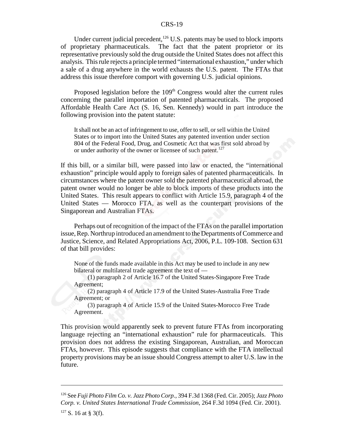Under current judicial precedent, $126$  U.S. patents may be used to block imports of proprietary pharmaceuticals. The fact that the patent proprietor or its representative previously sold the drug outside the United States does not affect this analysis. This rule rejects a principle termed "international exhaustion," under which a sale of a drug anywhere in the world exhausts the U.S. patent. The FTAs that address this issue therefore comport with governing U.S. judicial opinions.

Proposed legislation before the  $109<sup>th</sup>$  Congress would alter the current rules concerning the parallel importation of patented pharmaceuticals. The proposed Affordable Health Care Act (S. 16, Sen. Kennedy) would in part introduce the following provision into the patent statute:

It shall not be an act of infringement to use, offer to sell, or sell within the United States or to import into the United States any patented invention under section 804 of the Federal Food, Drug, and Cosmetic Act that was first sold abroad by or under authority of the owner or licensee of such patent.<sup>127</sup>

If this bill, or a similar bill, were passed into law or enacted, the "international exhaustion" principle would apply to foreign sales of patented pharmaceuticals. In circumstances where the patent owner sold the patented pharmaceutical abroad, the patent owner would no longer be able to block imports of these products into the United States. This result appears to conflict with Article 15.9, paragraph 4 of the United States — Morocco FTA, as well as the counterpart provisions of the Singaporean and Australian FTAs.

Perhaps out of recognition of the impact of the FTAs on the parallel importation issue, Rep. Northrup introduced an amendment to the Departments of Commerce and Justice, Science, and Related Appropriations Act, 2006, P.L. 109-108. Section 631 of that bill provides:

None of the funds made available in this Act may be used to include in any new bilateral or multilateral trade agreement the text of —

(1) paragraph 2 of Article 16.7 of the United States-Singapore Free Trade Agreement;

(2) paragraph 4 of Article 17.9 of the United States-Australia Free Trade Agreement; or

(3) paragraph 4 of Article 15.9 of the United States-Morocco Free Trade Agreement.

This provision would apparently seek to prevent future FTAs from incorporating language rejecting an "international exhaustion" rule for pharmaceuticals. This provision does not address the existing Singaporean, Australian, and Moroccan FTAs, however. This episode suggests that compliance with the FTA intellectual property provisions may be an issue should Congress attempt to alter U.S. law in the future.

<sup>126</sup> See *Fuji Photo Film Co. v. Jazz Photo Corp.*, 394 F.3d 1368 (Fed. Cir. 2005); *Jazz Photo Corp. v. United States International Trade Commission*, 264 F.3d 1094 (Fed. Cir. 2001).

 $127$  S. 16 at § 3(f).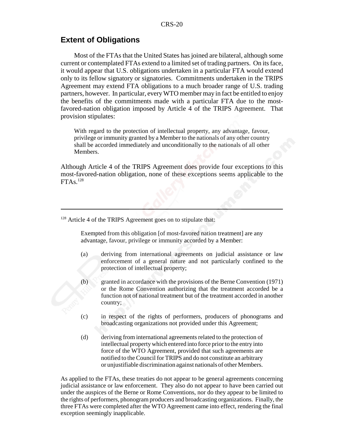## **Extent of Obligations**

Most of the FTAs that the United States has joined are bilateral, although some current or contemplated FTAs extend to a limited set of trading partners. On its face, it would appear that U.S. obligations undertaken in a particular FTA would extend only to its fellow signatory or signatories. Commitments undertaken in the TRIPS Agreement may extend FTA obligations to a much broader range of U.S. trading partners, however. In particular, every WTO member may in fact be entitled to enjoy the benefits of the commitments made with a particular FTA due to the mostfavored-nation obligation imposed by Article 4 of the TRIPS Agreement. That provision stipulates:

With regard to the protection of intellectual property, any advantage, favour, privilege or immunity granted by a Member to the nationals of any other country shall be accorded immediately and unconditionally to the nationals of all other Members.

Although Article 4 of the TRIPS Agreement does provide four exceptions to this most-favored-nation obligation, none of these exceptions seems applicable to the  $FTAs.<sup>128</sup>$ 

<sup>128</sup> Article 4 of the TRIPS Agreement goes on to stipulate that:

Exempted from this obligation [of most-favored nation treatment] are any advantage, favour, privilege or immunity accorded by a Member:

- (a) deriving from international agreements on judicial assistance or law enforcement of a general nature and not particularly confined to the protection of intellectual property;
- (b) granted in accordance with the provisions of the Berne Convention (1971) or the Rome Convention authorizing that the treatment accorded be a function not of national treatment but of the treatment accorded in another country;
- (c) in respect of the rights of performers, producers of phonograms and broadcasting organizations not provided under this Agreement;
- (d) deriving from international agreements related to the protection of intellectual property which entered into force prior to the entry into force of the WTO Agreement, provided that such agreements are notified to the Council for TRIPS and do not constitute an arbitrary or unjustifiable discrimination against nationals of other Members.

As applied to the FTAs, these treaties do not appear to be general agreements concerning judicial assistance or law enforcement. They also do not appear to have been carried out under the auspices of the Berne or Rome Conventions, nor do they appear to be limited to the rights of performers, phonogram producers and broadcasting organizations. Finally, the three FTAs were completed after the WTO Agreement came into effect, rendering the final exception seemingly inapplicable.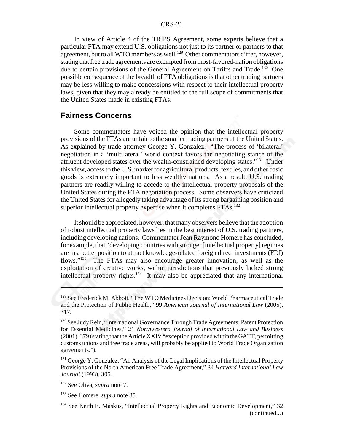In view of Article 4 of the TRIPS Agreement, some experts believe that a particular FTA may extend U.S. obligations not just to its partner or partners to that agreement, but to all WTO members as well.<sup>129</sup> Other commentators differ, however, stating that free trade agreements are exempted from most-favored-nation obligations due to certain provisions of the General Agreement on Tariffs and Trade.<sup>130</sup> One possible consequence of the breadth of FTA obligations is that other trading partners may be less willing to make concessions with respect to their intellectual property laws, given that they may already be entitled to the full scope of commitments that the United States made in existing FTAs.

## **Fairness Concerns**

Some commentators have voiced the opinion that the intellectual property provisions of the FTAs are unfair to the smaller trading partners of the United States. As explained by trade attorney George Y. Gonzalez: "The process of 'bilateral' negotiation in a 'multilateral' world context favors the negotiating stance of the affluent developed states over the wealth-constrained developing states."131 Under this view, access to the U.S. market for agricultural products, textiles, and other basic goods is extremely important to less wealthy nations. As a result, U.S. trading partners are readily willing to accede to the intellectual property proposals of the United States during the FTA negotiation process. Some observers have criticized the United States for allegedly taking advantage of its strong bargaining position and superior intellectual property expertise when it completes FTAs.<sup>132</sup>

It should be appreciated, however, that many observers believe that the adoption of robust intellectual property laws lies in the best interest of U.S. trading partners, including developing nations. Commentator Jean Raymond Homere has concluded, for example, that "developing countries with stronger [intellectual property] regimes are in a better position to attract knowledge-related foreign direct investments (FDI) flows."133 The FTAs may also encourage greater innovation, as well as the exploitation of creative works, within jurisdictions that previously lacked strong intellectual property rights. $134$  It may also be appreciated that any international

<sup>131</sup> George Y. Gonzalez, "An Analysis of the Legal Implications of the Intellectual Property Provisions of the North American Free Trade Agreement," 34 *Harvard International Law Journal* (1993), 305.

<sup>&</sup>lt;sup>129</sup> See Frederick M. Abbott, "The WTO Medicines Decision: World Pharmaceutical Trade and the Protection of Public Health," 99 *American Journal of International Law* (2005), 317.

<sup>&</sup>lt;sup>130</sup> See Judy Rein, "International Governance Through Trade Agreements: Patent Protection for Essential Medicines," 21 *Northwestern Journal of International Law and Business* (2001), 379 (stating that the Article XXIV "exception provided within the GATT, permitting customs unions and free trade areas, will probably be applied to World Trade Organization agreements.").

<sup>132</sup> See Oliva, *supra* note 7.

<sup>133</sup> See Homere, *supra* note 85.

<sup>&</sup>lt;sup>134</sup> See Keith E. Maskus, "Intellectual Property Rights and Economic Development," 32 (continued...)